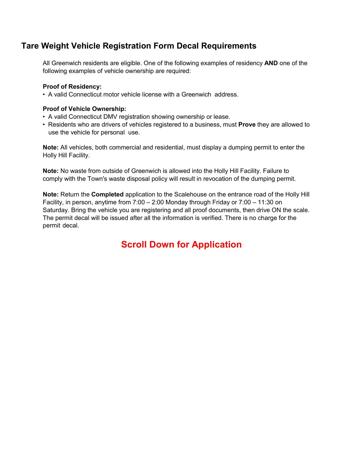### **Tare Weight Vehicle Registration Form Decal Requirements**

All Greenwich residents are eligible. One of the following examples of residency **AND** one of the following examples of vehicle ownership are required:

### **Proof of Residency:**

• A valid Connecticut motor vehicle license with a Greenwich address.

#### **Proof of Vehicle Ownership:**

- A valid Connecticut DMV registration showing ownership or lease.
- Residents who are drivers of vehicles registered to a business, must **Prove** they are allowed to use the vehicle for personal use.

**Note:** All vehicles, both commercial and residential, must display a dumping permit to enter the Holly Hill Facility.

**Note:** No waste from outside of Greenwich is allowed into the Holly Hill Facility. Failure to comply with the Town's waste disposal policy will result in revocation of the dumping permit.

**Note:** Return the **Completed** application to the Scalehouse on the entrance road of the Holly Hill Facility, in person, anytime from 7:00 – 2:00 Monday through Friday or 7:00 – 11:30 on Saturday. Bring the vehicle you are registering and all proof documents, then drive ON the scale. The permit decal will be issued after all the information is verified. There is no charge for the permit decal.

# **Scroll Down for Application**